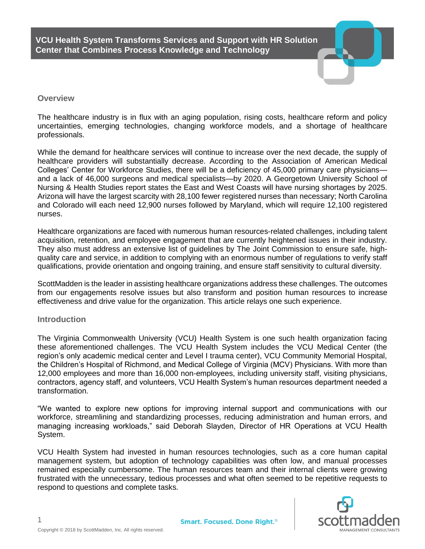

## **Overview**

The healthcare industry is in flux with an aging population, rising costs, healthcare reform and policy uncertainties, emerging technologies, changing workforce models, and a shortage of healthcare professionals.

While the demand for healthcare services will continue to increase over the next decade, the supply of healthcare providers will substantially decrease. According to the Association of American Medical Colleges' Center for Workforce Studies, there will be a deficiency of 45,000 primary care physicians and a lack of 46,000 surgeons and medical specialists—by 2020. A Georgetown University School of Nursing & Health Studies report states the East and West Coasts will have nursing shortages by 2025. Arizona will have the largest scarcity with 28,100 fewer registered nurses than necessary; North Carolina and Colorado will each need 12,900 nurses followed by Maryland, which will require 12,100 registered nurses.

Healthcare organizations are faced with numerous human resources-related challenges, including talent acquisition, retention, and employee engagement that are currently heightened issues in their industry. They also must address an extensive list of guidelines by The Joint Commission to ensure safe, highquality care and service, in addition to complying with an enormous number of regulations to verify staff qualifications, provide orientation and ongoing training, and ensure staff sensitivity to cultural diversity.

ScottMadden is the leader in assisting healthcare organizations address these challenges. The outcomes from our engagements resolve issues but also transform and position human resources to increase effectiveness and drive value for the organization. This article relays one such experience.

## **Introduction**

The Virginia Commonwealth University (VCU) Health System is one such health organization facing these aforementioned challenges. The VCU Health System includes the VCU Medical Center (the region's only academic medical center and Level I trauma center), VCU Community Memorial Hospital, the Children's Hospital of Richmond, and Medical College of Virginia (MCV) Physicians. With more than 12,000 employees and more than 16,000 non-employees, including university staff, visiting physicians, contractors, agency staff, and volunteers, VCU Health System's human resources department needed a transformation.

"We wanted to explore new options for improving internal support and communications with our workforce, streamlining and standardizing processes, reducing administration and human errors, and managing increasing workloads," said Deborah Slayden, Director of HR Operations at VCU Health System.

VCU Health System had invested in human resources technologies, such as a core human capital management system, but adoption of technology capabilities was often low, and manual processes remained especially cumbersome. The human resources team and their internal clients were growing frustrated with the unnecessary, tedious processes and what often seemed to be repetitive requests to respond to questions and complete tasks.



1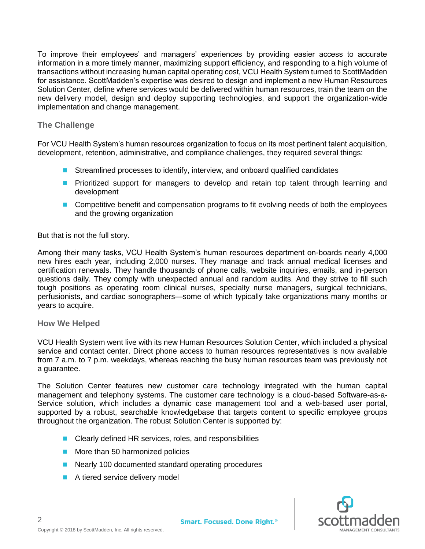To improve their employees' and managers' experiences by providing easier access to accurate information in a more timely manner, maximizing support efficiency, and responding to a high volume of transactions without increasing human capital operating cost, VCU Health System turned to ScottMadden for assistance. ScottMadden's expertise was desired to design and implement a new Human Resources Solution Center, define where services would be delivered within human resources, train the team on the new delivery model, design and deploy supporting technologies, and support the organization-wide implementation and change management.

# **The Challenge**

For VCU Health System's human resources organization to focus on its most pertinent talent acquisition, development, retention, administrative, and compliance challenges, they required several things:

- **Streamlined processes to identify, interview, and onboard qualified candidates**
- **Prioritized support for managers to develop and retain top talent through learning and** development
- **Competitive benefit and compensation programs to fit evolving needs of both the employees** and the growing organization

#### But that is not the full story.

Among their many tasks, VCU Health System's human resources department on-boards nearly 4,000 new hires each year, including 2,000 nurses. They manage and track annual medical licenses and certification renewals. They handle thousands of phone calls, website inquiries, emails, and in-person questions daily. They comply with unexpected annual and random audits. And they strive to fill such tough positions as operating room clinical nurses, specialty nurse managers, surgical technicians, perfusionists, and cardiac sonographers—some of which typically take organizations many months or years to acquire.

## **How We Helped**

VCU Health System went live with its new Human Resources Solution Center, which included a physical service and contact center. Direct phone access to human resources representatives is now available from 7 a.m. to 7 p.m. weekdays, whereas reaching the busy human resources team was previously not a guarantee.

The Solution Center features new customer care technology integrated with the human capital management and telephony systems. The customer care technology is a cloud-based Software-as-a-Service solution, which includes a dynamic case management tool and a web-based user portal, supported by a robust, searchable knowledgebase that targets content to specific employee groups throughout the organization. The robust Solution Center is supported by:

- Clearly defined HR services, roles, and responsibilities
- More than 50 harmonized policies
- Nearly 100 documented standard operating procedures
- A tiered service delivery model

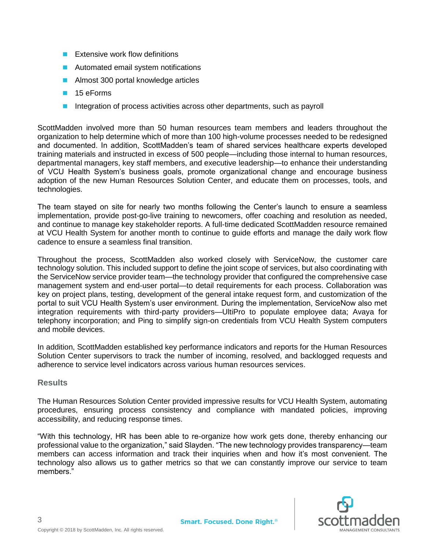- **EXTENSIVE WORK flow definitions**
- **Automated email system notifications**
- Almost 300 portal knowledge articles
- 15 eForms
- Integration of process activities across other departments, such as payroll

ScottMadden involved more than 50 human resources team members and leaders throughout the organization to help determine which of more than 100 high-volume processes needed to be redesigned and documented. In addition, ScottMadden's team of shared services healthcare experts developed training materials and instructed in excess of 500 people—including those internal to human resources, departmental managers, key staff members, and executive leadership—to enhance their understanding of VCU Health System's business goals, promote organizational change and encourage business adoption of the new Human Resources Solution Center, and educate them on processes, tools, and technologies.

The team stayed on site for nearly two months following the Center's launch to ensure a seamless implementation, provide post-go-live training to newcomers, offer coaching and resolution as needed, and continue to manage key stakeholder reports. A full-time dedicated ScottMadden resource remained at VCU Health System for another month to continue to guide efforts and manage the daily work flow cadence to ensure a seamless final transition.

Throughout the process, ScottMadden also worked closely with ServiceNow, the customer care technology solution. This included support to define the joint scope of services, but also coordinating with the ServiceNow service provider team—the technology provider that configured the comprehensive case management system and end-user portal—to detail requirements for each process. Collaboration was key on project plans, testing, development of the general intake request form, and customization of the portal to suit VCU Health System's user environment. During the implementation, ServiceNow also met integration requirements with third-party providers—UltiPro to populate employee data; Avaya for telephony incorporation; and Ping to simplify sign-on credentials from VCU Health System computers and mobile devices.

In addition, ScottMadden established key performance indicators and reports for the Human Resources Solution Center supervisors to track the number of incoming, resolved, and backlogged requests and adherence to service level indicators across various human resources services.

## **Results**

3

The Human Resources Solution Center provided impressive results for VCU Health System, automating procedures, ensuring process consistency and compliance with mandated policies, improving accessibility, and reducing response times.

"With this technology, HR has been able to re-organize how work gets done, thereby enhancing our professional value to the organization," said Slayden. "The new technology provides transparency—team members can access information and track their inquiries when and how it's most convenient. The technology also allows us to gather metrics so that we can constantly improve our service to team members."